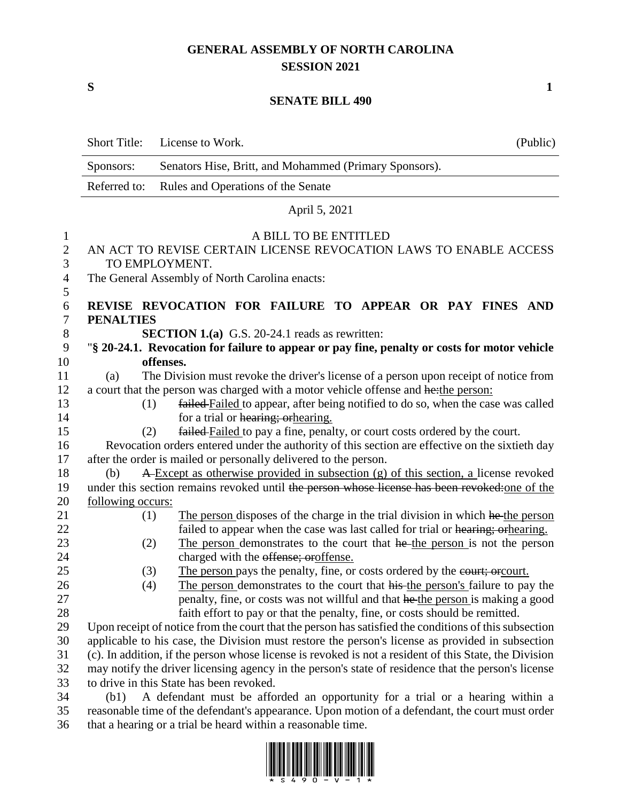## **GENERAL ASSEMBLY OF NORTH CAROLINA SESSION 2021**

**S 1**

## **SENATE BILL 490**

|                                 | <b>Short Title:</b>                                                                              | License to Work.<br>(Public)                                                                                 |  |
|---------------------------------|--------------------------------------------------------------------------------------------------|--------------------------------------------------------------------------------------------------------------|--|
|                                 | Sponsors:                                                                                        | Senators Hise, Britt, and Mohammed (Primary Sponsors).                                                       |  |
|                                 | Referred to:                                                                                     | Rules and Operations of the Senate                                                                           |  |
|                                 |                                                                                                  | April 5, 2021                                                                                                |  |
|                                 |                                                                                                  |                                                                                                              |  |
| $\mathbf{1}$<br>$\sqrt{2}$<br>3 |                                                                                                  | A BILL TO BE ENTITLED<br>AN ACT TO REVISE CERTAIN LICENSE REVOCATION LAWS TO ENABLE ACCESS<br>TO EMPLOYMENT. |  |
| $\overline{4}$<br>5             |                                                                                                  | The General Assembly of North Carolina enacts:                                                               |  |
| 6                               |                                                                                                  | REVISE REVOCATION FOR FAILURE TO APPEAR OR PAY FINES AND                                                     |  |
| $\tau$                          | <b>PENALTIES</b>                                                                                 |                                                                                                              |  |
| $8\phantom{1}$                  |                                                                                                  | <b>SECTION 1.(a)</b> G.S. 20-24.1 reads as rewritten:                                                        |  |
| 9                               |                                                                                                  | "§ 20-24.1. Revocation for failure to appear or pay fine, penalty or costs for motor vehicle                 |  |
| 10                              |                                                                                                  | offenses.                                                                                                    |  |
| 11                              | (a)                                                                                              | The Division must revoke the driver's license of a person upon receipt of notice from                        |  |
| 12                              |                                                                                                  | a court that the person was charged with a motor vehicle offense and hethe person:                           |  |
| 13                              | (1)                                                                                              | failed Failed to appear, after being notified to do so, when the case was called                             |  |
| 14                              |                                                                                                  | for a trial or hearing; or hearing.                                                                          |  |
| 15                              | (2)                                                                                              | failed Failed to pay a fine, penalty, or court costs ordered by the court.                                   |  |
| 16                              |                                                                                                  | Revocation orders entered under the authority of this section are effective on the sixtieth day              |  |
| 17                              |                                                                                                  | after the order is mailed or personally delivered to the person.                                             |  |
| 18                              | (b)                                                                                              | A Except as otherwise provided in subsection (g) of this section, a license revoked                          |  |
| 19                              |                                                                                                  | under this section remains revoked until the person whose license has been revoked: one of the               |  |
| 20<br>21                        | following occurs:<br>(1)                                                                         | The person disposes of the charge in the trial division in which he the person                               |  |
| 22                              |                                                                                                  | failed to appear when the case was last called for trial or hearing; or hearing.                             |  |
| 23                              | (2)                                                                                              | The person demonstrates to the court that he the person is not the person                                    |  |
| 24                              |                                                                                                  | charged with the offense; oroffense.                                                                         |  |
| 25                              | (3)                                                                                              | The person pays the penalty, fine, or costs ordered by the court; or court.                                  |  |
| 26                              | (4)                                                                                              | The person demonstrates to the court that his the person's failure to pay the                                |  |
| 27                              |                                                                                                  | penalty, fine, or costs was not willful and that he the person is making a good                              |  |
| 28                              |                                                                                                  | faith effort to pay or that the penalty, fine, or costs should be remitted.                                  |  |
| 29                              |                                                                                                  | Upon receipt of notice from the court that the person has satisfied the conditions of this subsection        |  |
| 30                              | applicable to his case, the Division must restore the person's license as provided in subsection |                                                                                                              |  |
| 31                              |                                                                                                  | (c). In addition, if the person whose license is revoked is not a resident of this State, the Division       |  |
| 32                              |                                                                                                  | may notify the driver licensing agency in the person's state of residence that the person's license          |  |
| 33                              |                                                                                                  | to drive in this State has been revoked.                                                                     |  |
| 34                              | (b1)                                                                                             | A defendant must be afforded an opportunity for a trial or a hearing within a                                |  |
| 35                              |                                                                                                  | reasonable time of the defendant's appearance. Upon motion of a defendant, the court must order              |  |

that a hearing or a trial be heard within a reasonable time.

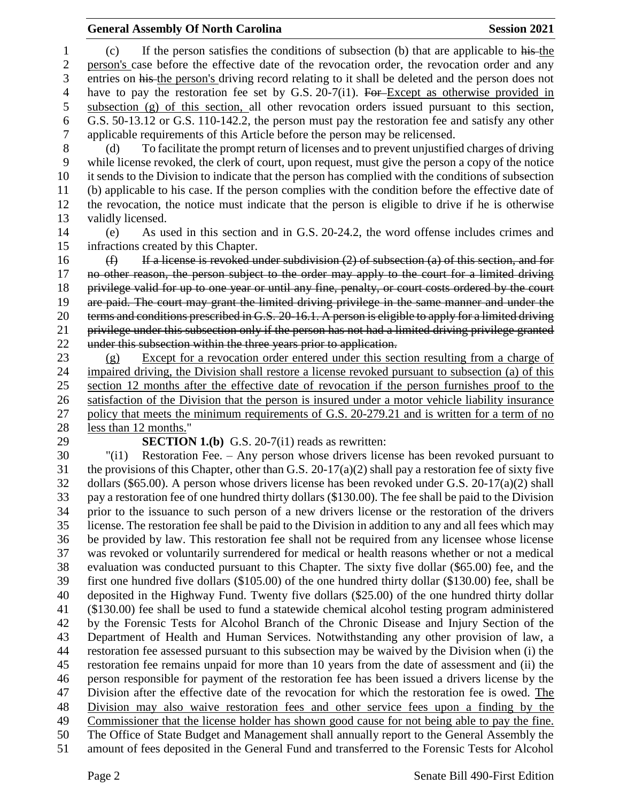## **General Assembly Of North Carolina Session 2021**

 person's case before the effective date of the revocation order, the revocation order and any entries on his the person's driving record relating to it shall be deleted and the person does not 4 have to pay the restoration fee set by G.S. 20-7(i1). For Except as otherwise provided in subsection (g) of this section, all other revocation orders issued pursuant to this section, G.S. 50-13.12 or G.S. 110-142.2, the person must pay the restoration fee and satisfy any other applicable requirements of this Article before the person may be relicensed. (d) To facilitate the prompt return of licenses and to prevent unjustified charges of driving while license revoked, the clerk of court, upon request, must give the person a copy of the notice it sends to the Division to indicate that the person has complied with the conditions of subsection (b) applicable to his case. If the person complies with the condition before the effective date of the revocation, the notice must indicate that the person is eligible to drive if he is otherwise validly licensed. (e) As used in this section and in G.S. 20-24.2, the word offense includes crimes and infractions created by this Chapter.  $(f)$  If a license is revoked under subdivision (2) of subsection (a) of this section, and for no other reason, the person subject to the order may apply to the court for a limited driving privilege valid for up to one year or until any fine, penalty, or court costs ordered by the court are paid. The court may grant the limited driving privilege in the same manner and under the terms and conditions prescribed in G.S. 20-16.1. A person is eligible to apply for a limited driving privilege under this subsection only if the person has not had a limited driving privilege granted under this subsection within the three years prior to application. (g) Except for a revocation order entered under this section resulting from a charge of impaired driving, the Division shall restore a license revoked pursuant to subsection (a) of this section 12 months after the effective date of revocation if the person furnishes proof to the satisfaction of the Division that the person is insured under a motor vehicle liability insurance policy that meets the minimum requirements of G.S. 20-279.21 and is written for a term of no less than 12 months." **SECTION 1.(b)** G.S. 20-7(i1) reads as rewritten: "(i1) Restoration Fee. – Any person whose drivers license has been revoked pursuant to 31 the provisions of this Chapter, other than G.S. 20-17(a)(2) shall pay a restoration fee of sixty five dollars (\$65.00). A person whose drivers license has been revoked under G.S. 20-17(a)(2) shall pay a restoration fee of one hundred thirty dollars (\$130.00). The fee shall be paid to the Division prior to the issuance to such person of a new drivers license or the restoration of the drivers license. The restoration fee shall be paid to the Division in addition to any and all fees which may be provided by law. This restoration fee shall not be required from any licensee whose license was revoked or voluntarily surrendered for medical or health reasons whether or not a medical evaluation was conducted pursuant to this Chapter. The sixty five dollar (\$65.00) fee, and the first one hundred five dollars (\$105.00) of the one hundred thirty dollar (\$130.00) fee, shall be deposited in the Highway Fund. Twenty five dollars (\$25.00) of the one hundred thirty dollar (\$130.00) fee shall be used to fund a statewide chemical alcohol testing program administered by the Forensic Tests for Alcohol Branch of the Chronic Disease and Injury Section of the Department of Health and Human Services. Notwithstanding any other provision of law, a restoration fee assessed pursuant to this subsection may be waived by the Division when (i) the restoration fee remains unpaid for more than 10 years from the date of assessment and (ii) the person responsible for payment of the restoration fee has been issued a drivers license by the Division after the effective date of the revocation for which the restoration fee is owed. The Division may also waive restoration fees and other service fees upon a finding by the Commissioner that the license holder has shown good cause for not being able to pay the fine. The Office of State Budget and Management shall annually report to the General Assembly the amount of fees deposited in the General Fund and transferred to the Forensic Tests for Alcohol

(c) If the person satisfies the conditions of subsection (b) that are applicable to his the